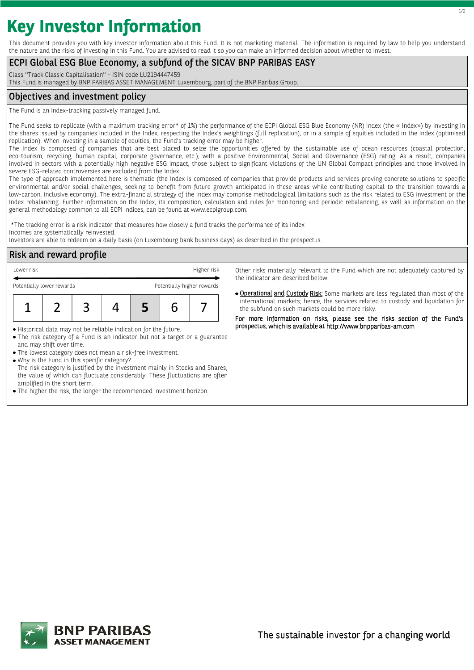# **Key Investor Information**

This document provides you with key investor information about this Fund. It is not marketing material. The information is required by law to help you understand the nature and the risks of investing in this Fund. You are advised to read it so you can make an informed decision about whether to invest.

## ECPI Global ESG Blue Economy, a subfund of the SICAV BNP PARIBAS EASY

Class ''Track Classic Capitalisation'' - ISIN code LU2194447459

This Fund is managed by BNP PARIBAS ASSET MANAGEMENT Luxembourg, part of the BNP Paribas Group.

## Objectives and investment policy

The Fund is an index-tracking passively managed fund.

The Fund seeks to replicate (with a maximum tracking error\* of 1%) the performance of the ECPI Global ESG Blue Economy (NR) Index (the « Index») by investing in the shares issued by companies included in the Index, respecting the Index's weightings (full replication), or in a sample of equities included in the Index (optimised replication). When investing in a sample of equities, the Fund's tracking error may be higher.

The Index is composed of companies that are best placed to seize the opportunities offered by the sustainable use of ocean resources (coastal protection, eco-tourism, recycling, human capital, corporate governance, etc.), with a positive Environmental, Social and Governance (ESG) rating. As a result, companies involved in sectors with a potentially high negative ESG impact, those subject to significant violations of the UN Global Compact principles and those involved in severe ESG-related controversies are excluded from the Index.

The type of approach implemented here is thematic (the Index is composed of companies that provide products and services proving concrete solutions to specific environmental and/or social challenges, seeking to benefit from future growth anticipated in these areas while contributing capital to the transition towards a low-carbon, inclusive economy). The extra-financial strategy of the Index may comprise methodological limitations such as the risk related to ESG investment or the Index rebalancing. Further information on the Index, its composition, calculation and rules for monitoring and periodic rebalancing, as well as information on the general methodology common to all ECPI indices, can be found at www.ecpigroup.com.

\*The tracking error is a risk indicator that measures how closely a fund tracks the performance of its index Incomes are systematically reinvested.

Investors are able to redeem on a daily basis (on Luxembourg bank business days) as described in the prospectus.

# Risk and reward profile

| Lower risk                                              |  |  |  |  |  | Higher risk |
|---------------------------------------------------------|--|--|--|--|--|-------------|
| Potentially higher rewards<br>Potentially lower rewards |  |  |  |  |  |             |
|                                                         |  |  |  |  |  |             |
|                                                         |  |  |  |  |  |             |

Historical data may not be reliable indication for the future.

- The risk category of a Fund is an indicator but not a target or a guarantee and may shift over time.
- The lowest category does not mean a risk-free investment.
- Why is the Fund in this specific category?

The risk category is justified by the investment mainly in Stocks and Shares, the value of which can fluctuate considerably. These fluctuations are often amplified in the short term.

The higher the risk, the longer the recommended investment horizon.

Other risks materially relevant to the Fund which are not adequately captured by the indicator are described below:

**· Operational and Custody Risk:** Some markets are less regulated than most of the international markets; hence, the services related to custody and liquidation for the subfund on such markets could be more risky.

For more information on risks, please see the risks section of the Fund's prospectus, which is available at http://www.bnpparibas-am.com.